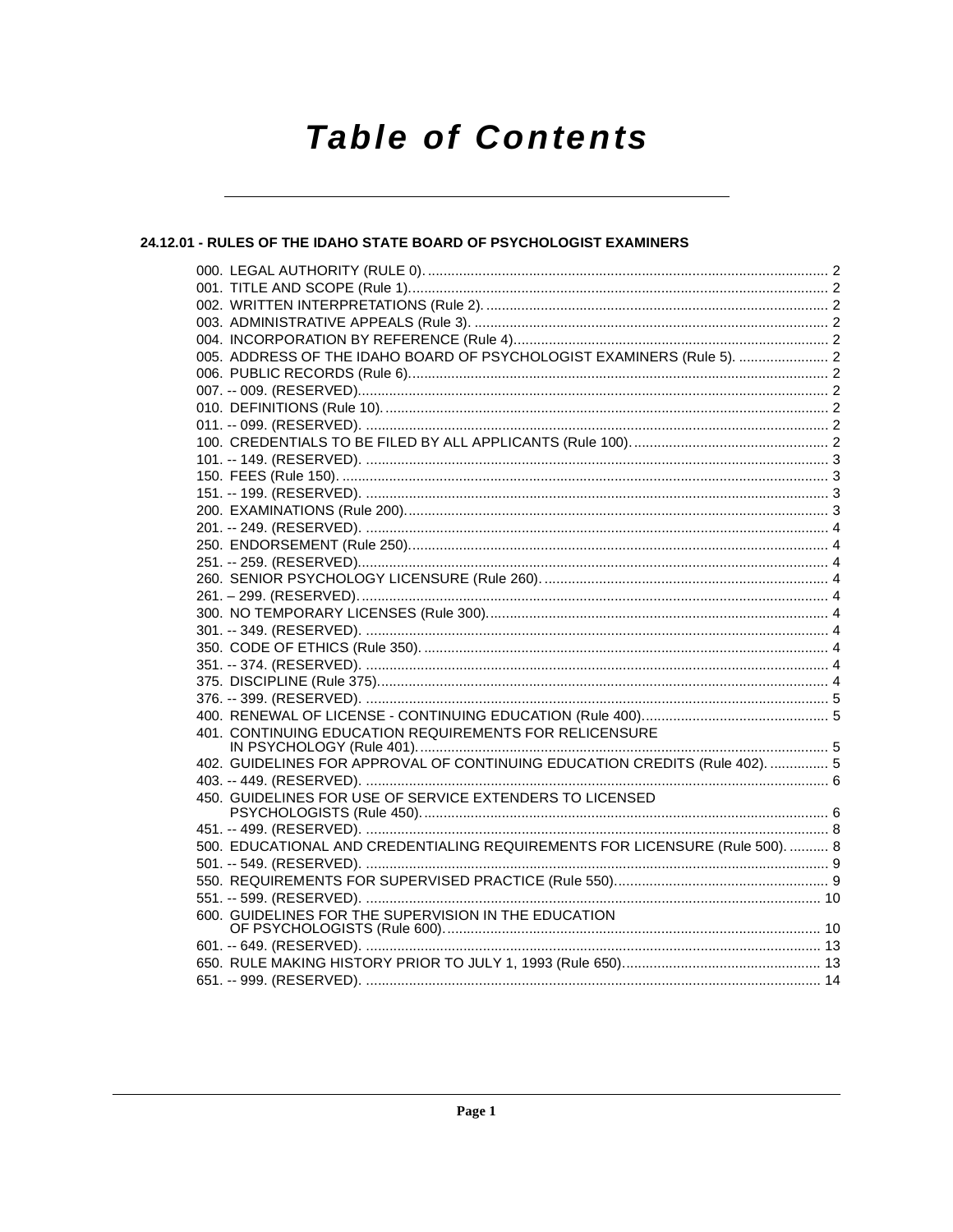# **Table of Contents**

### 24.12.01 - RULES OF THE IDAHO STATE BOARD OF PSYCHOLOGIST EXAMINERS

| 005. ADDRESS OF THE IDAHO BOARD OF PSYCHOLOGIST EXAMINERS (Rule 5).  2       |  |
|------------------------------------------------------------------------------|--|
|                                                                              |  |
|                                                                              |  |
|                                                                              |  |
|                                                                              |  |
|                                                                              |  |
|                                                                              |  |
|                                                                              |  |
|                                                                              |  |
|                                                                              |  |
|                                                                              |  |
|                                                                              |  |
|                                                                              |  |
|                                                                              |  |
|                                                                              |  |
|                                                                              |  |
|                                                                              |  |
|                                                                              |  |
|                                                                              |  |
|                                                                              |  |
|                                                                              |  |
|                                                                              |  |
| 401. CONTINUING EDUCATION REQUIREMENTS FOR RELICENSURE                       |  |
|                                                                              |  |
| 402. GUIDELINES FOR APPROVAL OF CONTINUING EDUCATION CREDITS (Rule 402).  5  |  |
|                                                                              |  |
| 450. GUIDELINES FOR USE OF SERVICE EXTENDERS TO LICENSED                     |  |
|                                                                              |  |
| 500. EDUCATIONAL AND CREDENTIALING REQUIREMENTS FOR LICENSURE (Rule 500).  8 |  |
|                                                                              |  |
|                                                                              |  |
|                                                                              |  |
|                                                                              |  |
|                                                                              |  |
|                                                                              |  |
|                                                                              |  |
|                                                                              |  |
|                                                                              |  |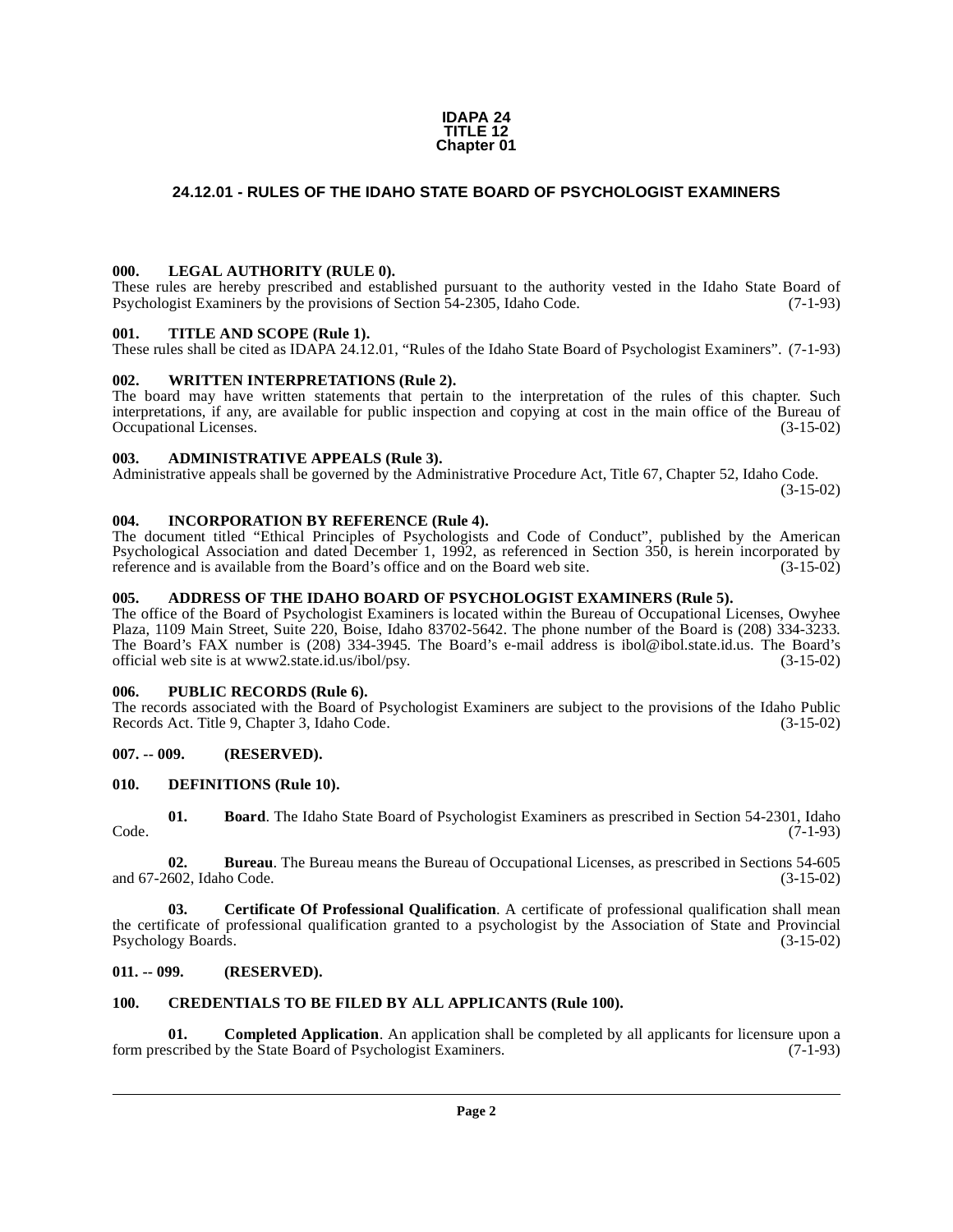#### **IDAPA 24 TITLE 12 Chapter 01**

### <span id="page-1-0"></span>**24.12.01 - RULES OF THE IDAHO STATE BOARD OF PSYCHOLOGIST EXAMINERS**

#### <span id="page-1-1"></span>**000. LEGAL AUTHORITY (RULE 0).**

These rules are hereby prescribed and established pursuant to the authority vested in the Idaho State Board of Psychologist Examiners by the provisions of Section 54-2305. Idaho Code. (7-1-93) Psychologist Examiners by the provisions of Section 54-2305, Idaho Code.

#### <span id="page-1-2"></span>**001. TITLE AND SCOPE (Rule 1).**

These rules shall be cited as IDAPA 24.12.01, "Rules of the Idaho State Board of Psychologist Examiners". (7-1-93)

#### <span id="page-1-16"></span><span id="page-1-3"></span>**002. WRITTEN INTERPRETATIONS (Rule 2).**

The board may have written statements that pertain to the interpretation of the rules of this chapter. Such interpretations, if any, are available for public inspection and copying at cost in the main office of the Bureau of Occupational Licenses. (3-15-02)

#### <span id="page-1-4"></span>**003. ADMINISTRATIVE APPEALS (Rule 3).**

Administrative appeals shall be governed by the Administrative Procedure Act, Title 67, Chapter 52, Idaho Code.

(3-15-02)

#### <span id="page-1-5"></span>**004. INCORPORATION BY REFERENCE (Rule 4).**

The document titled "Ethical Principles of Psychologists and Code of Conduct", published by the American Psychological Association and dated December 1, 1992, as referenced in Section 350, is herein incorporated by reference and is available from the Board's office and on the Board web site. (3-15-02)

#### <span id="page-1-6"></span>**005. ADDRESS OF THE IDAHO BOARD OF PSYCHOLOGIST EXAMINERS (Rule 5).**

[The office of the Board of Psychologist Examiners is located within the Bureau of Occupational Licenses, Owyhee](http://www2.state.id.us/ibol/psy) Plaza, 1109 Main Street, Suite 220, Boise, Idaho 83702-5642. The phone number of the Board is (208) 334-3233. The Board's FAX number is (208) 334-3945. The Board's e-mail address is ibol@ibol.state.id.us. The Board's official web site is at www2.state.id.us/ibol/psy. (3-15-02)

#### <span id="page-1-7"></span>**006. PUBLIC RECORDS (Rule 6).**

The records associated with the Board of Psychologist Examiners are subject to the provisions of the Idaho Public<br>Records Act. Title 9, Chapter 3, Idaho Code. (3-15-02) Records Act. Title 9, Chapter 3, Idaho Code.

#### <span id="page-1-8"></span>**007. -- 009. (RESERVED).**

#### <span id="page-1-15"></span><span id="page-1-9"></span>**010. DEFINITIONS (Rule 10).**

<span id="page-1-12"></span>**01. Board**. The Idaho State Board of Psychologist Examiners as prescribed in Section 54-2301, Idaho (7-1-93) Code. (7-1-93)

**02. Bureau**. The Bureau means the Bureau of Occupational Licenses, as prescribed in Sections 54-605 and 67-2602, Idaho Code. (3-15-02)

**03. Certificate Of Professional Qualification**. A certificate of professional qualification shall mean the certificate of professional qualification granted to a psychologist by the Association of State and Provincial Psychology Boards. (3-15-02)

#### <span id="page-1-10"></span>**011. -- 099. (RESERVED).**

#### <span id="page-1-14"></span><span id="page-1-13"></span><span id="page-1-11"></span>**100. CREDENTIALS TO BE FILED BY ALL APPLICANTS (Rule 100).**

**01. Completed Application**. An application shall be completed by all applicants for licensure upon a form prescribed by the State Board of Psychologist Examiners. (7-1-93)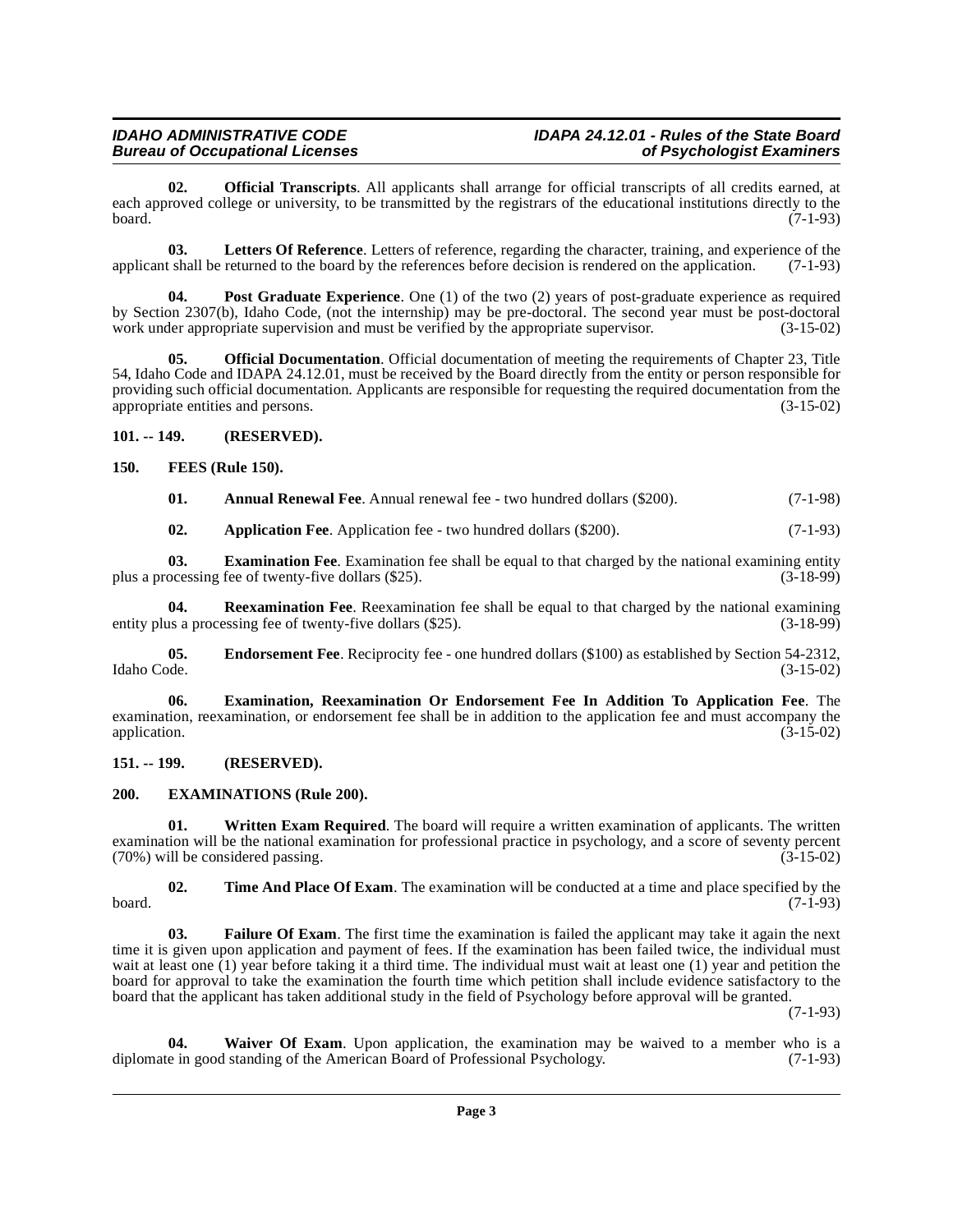<span id="page-2-13"></span>**02. Official Transcripts**. All applicants shall arrange for official transcripts of all credits earned, at each approved college or university, to be transmitted by the registrars of the educational institutions directly to the board. board. (7-1-93)

<span id="page-2-12"></span>**03.** Letters Of Reference. Letters of reference, regarding the character, training, and experience of the tshall be returned to the board by the references before decision is rendered on the application. (7-1-93) applicant shall be returned to the board by the references before decision is rendered on the application.

<span id="page-2-14"></span>**Post Graduate Experience**. One (1) of the two (2) years of post-graduate experience as required by Section 2307(b), Idaho Code, (not the internship) may be pre-doctoral. The second year must be post-doctoral work under appropriate supervision and must be verified by the appropriate supervisor. (3-15-02)

**05. Official Documentation**. Official documentation of meeting the requirements of Chapter 23, Title 54, Idaho Code and IDAPA 24.12.01, must be received by the Board directly from the entity or person responsible for providing such official documentation. Applicants are responsible for requesting the required documentation from the appropriate entities and persons. (3-15-02) appropriate entities and persons.

<span id="page-2-0"></span>**101. -- 149. (RESERVED).**

<span id="page-2-1"></span>**150. FEES (Rule 150).**

<span id="page-2-11"></span><span id="page-2-4"></span>**01. Annual Renewal Fee**. Annual renewal fee - two hundred dollars (\$200). (7-1-98)

<span id="page-2-15"></span><span id="page-2-7"></span><span id="page-2-5"></span>**02.** Application Fee. Application fee - two hundred dollars (\$200). (7-1-93)

**03. Examination Fee**. Examination fee shall be equal to that charged by the national examining entity ocessing fee of twenty-five dollars (\$25). (3-18-99) plus a processing fee of twenty-five dollars (\$25).

**04. Reexamination Fee**. Reexamination fee shall be equal to that charged by the national examining us a processing fee of twenty-five dollars (\$25). entity plus a processing fee of twenty-five dollars  $(\$25)$ .

<span id="page-2-6"></span>**05. Endorsement Fee**. Reciprocity fee - one hundred dollars (\$100) as established by Section 54-2312, Idaho Code. (3-15-02) Idaho Code. (3-15-02)

<span id="page-2-8"></span>**06. Examination, Reexamination Or Endorsement Fee In Addition To Application Fee**. The examination, reexamination, or endorsement fee shall be in addition to the application fee and must accompany the application.  $(3-15-02)$ application. (3-15-02)

#### <span id="page-2-2"></span>**151. -- 199. (RESERVED).**

#### <span id="page-2-9"></span><span id="page-2-3"></span>**200. EXAMINATIONS (Rule 200).**

<span id="page-2-18"></span>**01. Written Exam Required**. The board will require a written examination of applicants. The written examination will be the national examination for professional practice in psychology, and a score of seventy percent (70%) will be considered passing.  $(70%)$  will be considered passing.

<span id="page-2-16"></span>**02. Time And Place Of Exam**. The examination will be conducted at a time and place specified by the board. (7-1-93)

<span id="page-2-10"></span>**03. Failure Of Exam**. The first time the examination is failed the applicant may take it again the next time it is given upon application and payment of fees. If the examination has been failed twice, the individual must wait at least one (1) year before taking it a third time. The individual must wait at least one (1) year and petition the board for approval to take the examination the fourth time which petition shall include evidence satisfactory to the board that the applicant has taken additional study in the field of Psychology before approval will be granted.

(7-1-93)

<span id="page-2-17"></span>**04. Waiver Of Exam**. Upon application, the examination may be waived to a member who is a diplomate in good standing of the American Board of Professional Psychology. (7-1-93)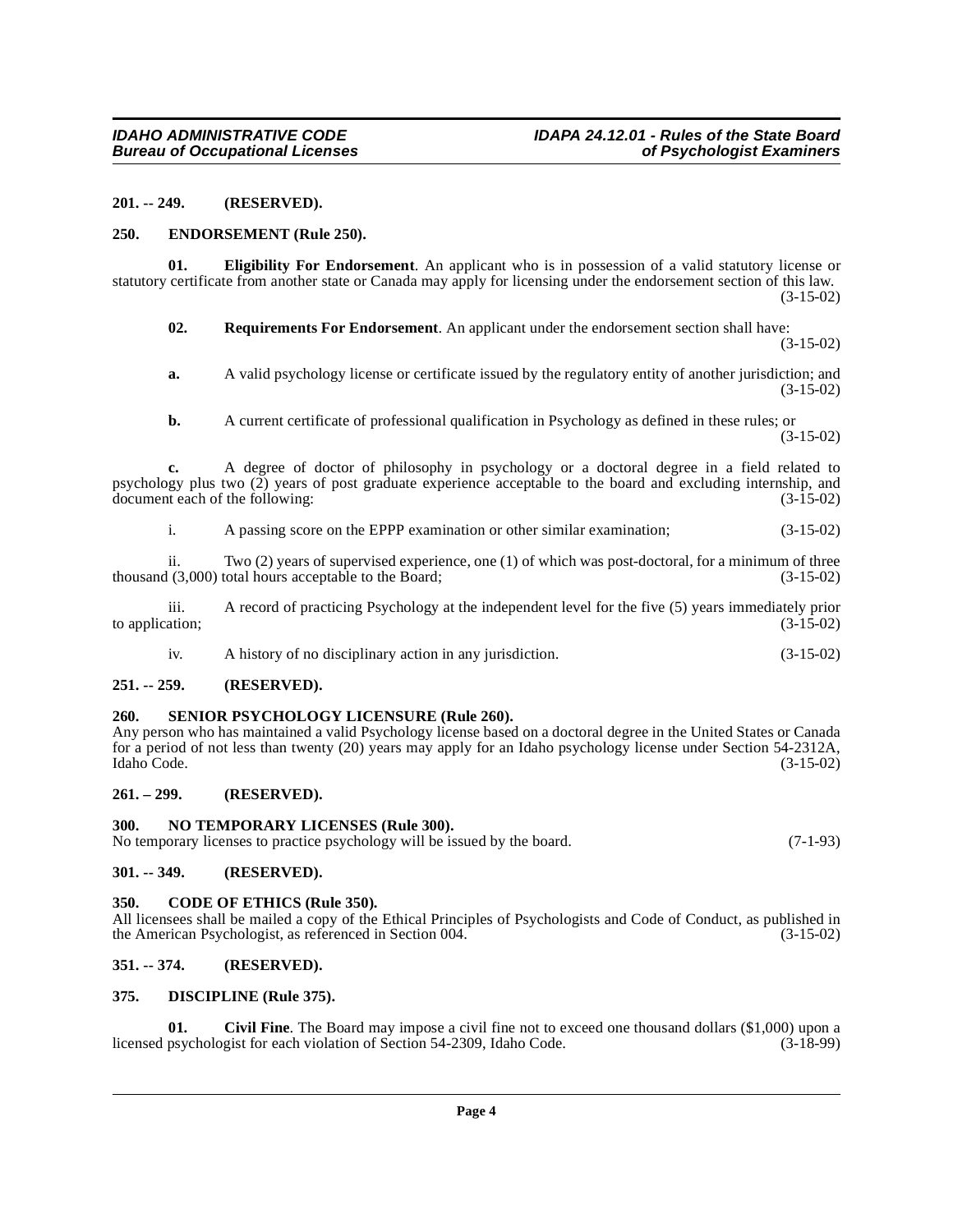#### <span id="page-3-0"></span>**201. -- 249. (RESERVED).**

#### <span id="page-3-14"></span><span id="page-3-1"></span>**250. ENDORSEMENT (Rule 250).**

**01. Eligibility For Endorsement**. An applicant who is in possession of a valid statutory license or statutory certificate from another state or Canada may apply for licensing under the endorsement section of this law. (3-15-02)

<span id="page-3-16"></span><span id="page-3-13"></span>**02. Requirements For Endorsement**. An applicant under the endorsement section shall have:

**a.** A valid psychology license or certificate issued by the regulatory entity of another jurisdiction; and (3-15-02)

**b.** A current certificate of professional qualification in Psychology as defined in these rules; or (3-15-02)

**c.** A degree of doctor of philosophy in psychology or a doctoral degree in a field related to psychology plus two  $(2)$  years of post graduate experience acceptable to the board and excluding internship, and document each of the following:  $(3-15-02)$ document each of the following:

i. A passing score on the EPPP examination or other similar examination; (3-15-02)

ii. Two (2) years of supervised experience, one (1) of which was post-doctoral, for a minimum of three  $(3.000)$  total hours acceptable to the Board:  $(3-15-02)$ thousand  $(3,000)$  total hours acceptable to the Board:

iii. A record of practicing Psychology at the independent level for the five (5) years immediately prior (3-15-02) to application;

<span id="page-3-17"></span>iv. A history of no disciplinary action in any jurisdiction. (3-15-02)

#### <span id="page-3-2"></span>**251. -- 259. (RESERVED).**

#### <span id="page-3-3"></span>**260. SENIOR PSYCHOLOGY LICENSURE (Rule 260).**

Any person who has maintained a valid Psychology license based on a doctoral degree in the United States or Canada for a period of not less than twenty (20) years may apply for an Idaho psychology license under Section 54-2312A, Idaho Code. (3-15-02)

#### <span id="page-3-4"></span>**261. – 299. (RESERVED).**

#### <span id="page-3-15"></span><span id="page-3-5"></span>**300. NO TEMPORARY LICENSES (Rule 300).**

No temporary licenses to practice psychology will be issued by the board. (7-1-93)

#### <span id="page-3-6"></span>**301. -- 349. (RESERVED).**

#### <span id="page-3-11"></span><span id="page-3-7"></span>**350. CODE OF ETHICS (Rule 350).**

All licensees shall be mailed a copy of the Ethical Principles of Psychologists and Code of Conduct, as published in the American Psychologist, as referenced in Section 004. the American Psychologist, as referenced in Section 004.

#### <span id="page-3-8"></span>**351. -- 374. (RESERVED).**

#### <span id="page-3-12"></span><span id="page-3-9"></span>**375. DISCIPLINE (Rule 375).**

<span id="page-3-10"></span>**01.** Civil Fine. The Board may impose a civil fine not to exceed one thousand dollars (\$1,000) upon a psychologist for each violation of Section 54-2309, Idaho Code. (3-18-99) licensed psychologist for each violation of Section 54-2309, Idaho Code.

(3-15-02)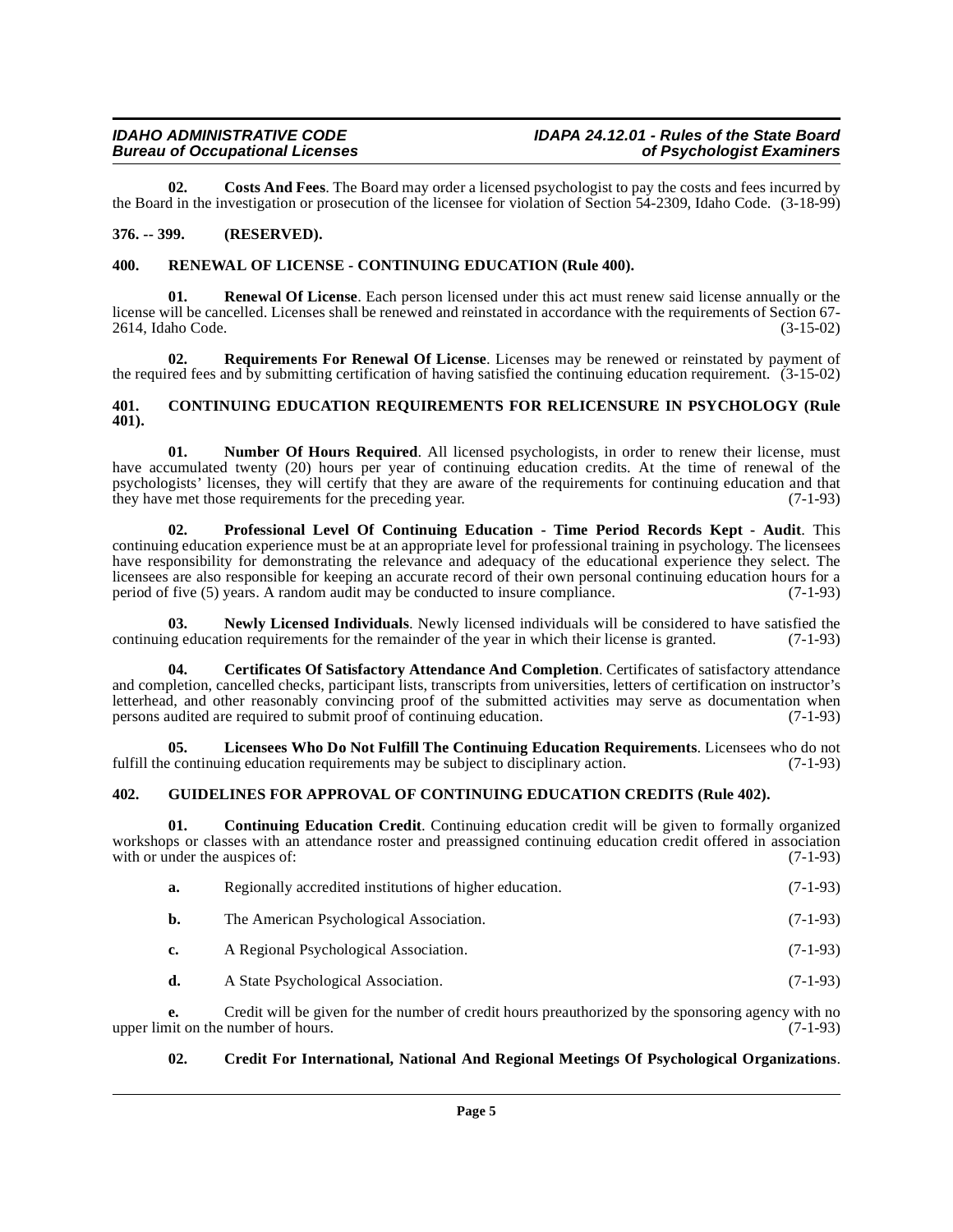<span id="page-4-7"></span>**02. Costs And Fees**. The Board may order a licensed psychologist to pay the costs and fees incurred by the Board in the investigation or prosecution of the licensee for violation of Section 54-2309, Idaho Code. (3-18-99)

#### <span id="page-4-0"></span>**376. -- 399. (RESERVED).**

#### <span id="page-4-14"></span><span id="page-4-1"></span>**400. RENEWAL OF LICENSE - CONTINUING EDUCATION (Rule 400).**

**Renewal Of License**. Each person licensed under this act must renew said license annually or the license will be cancelled. Licenses shall be renewed and reinstated in accordance with the requirements of Section 67- 2614, Idaho Code. (3-15-02)

<span id="page-4-15"></span>**02. Requirements For Renewal Of License**. Licenses may be renewed or reinstated by payment of the required fees and by submitting certification of having satisfied the continuing education requirement. (3-15-02)

#### <span id="page-4-6"></span><span id="page-4-2"></span>**401. CONTINUING EDUCATION REQUIREMENTS FOR RELICENSURE IN PSYCHOLOGY (Rule 401).**

<span id="page-4-12"></span>**01.** Number Of Hours Required. All licensed psychologists, in order to renew their license, must have accumulated twenty (20) hours per year of continuing education credits. At the time of renewal of the psychologists' licenses, they will certify that they are aware of the requirements for continuing education and that they have met those requirements for the preceding year. (7-1-93)

<span id="page-4-13"></span>**02. Professional Level Of Continuing Education - Time Period Records Kept - Audit**. This continuing education experience must be at an appropriate level for professional training in psychology. The licensees have responsibility for demonstrating the relevance and adequacy of the educational experience they select. The licensees are also responsible for keeping an accurate record of their own personal continuing education hours for a period of five (5) years. A random audit may be conducted to insure compliance. (7-1-93)

<span id="page-4-11"></span>**03. Newly Licensed Individuals**. Newly licensed individuals will be considered to have satisfied the continuing education requirements for the remainder of the year in which their license is granted. (7-1-93)

<span id="page-4-4"></span>**04. Certificates Of Satisfactory Attendance And Completion**. Certificates of satisfactory attendance and completion, cancelled checks, participant lists, transcripts from universities, letters of certification on instructor's letterhead, and other reasonably convincing proof of the submitted activities may serve as documentation when<br>persons audited are required to submit proof of continuing education. (7-1-93) persons audited are required to submit proof of continuing education.

<span id="page-4-10"></span>**Licensees Who Do Not Fulfill The Continuing Education Requirements**. Licensees who do not ing education requirements may be subject to disciplinary action. (7-1-93) fulfill the continuing education requirements may be subject to disciplinary action.

#### <span id="page-4-9"></span><span id="page-4-3"></span>**402. GUIDELINES FOR APPROVAL OF CONTINUING EDUCATION CREDITS (Rule 402).**

**01. Continuing Education Credit**. Continuing education credit will be given to formally organized workshops or classes with an attendance roster and preassigned continuing education credit offered in association with or under the ausnices of: (7-1-93) with or under the auspices of:

<span id="page-4-5"></span>

| а. | Regionally accredited institutions of higher education. | $(7-1-93)$ |
|----|---------------------------------------------------------|------------|
| b. | The American Psychological Association.                 | $(7-1-93)$ |
| c. | A Regional Psychological Association.                   | $(7-1-93)$ |
| d. | A State Psychological Association.                      | $(7-1-93)$ |

**e.** Credit will be given for the number of credit hours preauthorized by the sponsoring agency with no nit on the number of hours. (7-1-93) upper limit on the number of hours.

#### <span id="page-4-8"></span>**02. Credit For International, National And Regional Meetings Of Psychological Organizations**.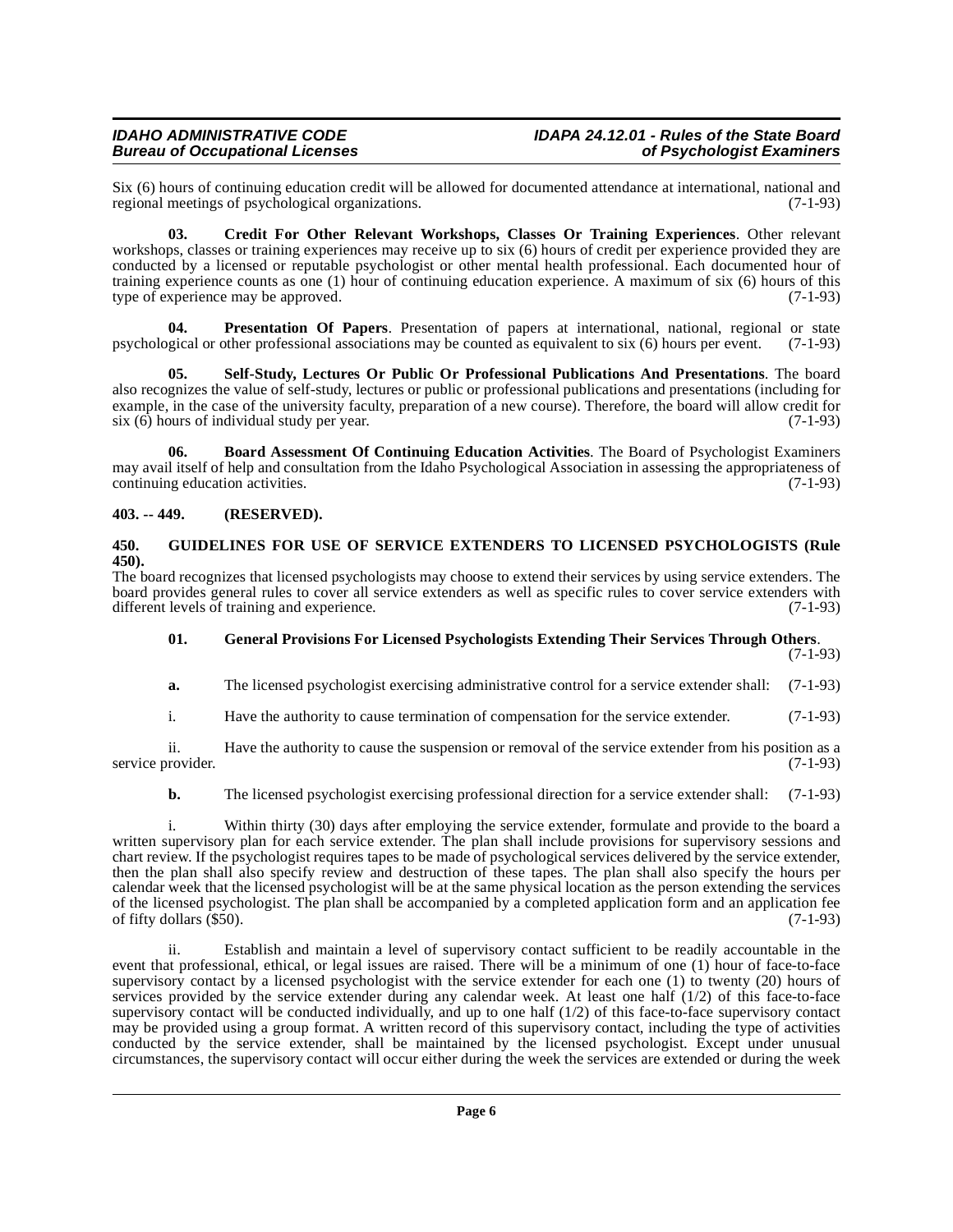Six (6) hours of continuing education credit will be allowed for documented attendance at international, national and regional meetings of psychological organizations.  $(7-1-93)$ regional meetings of psychological organizations.

<span id="page-5-3"></span>**03. Credit For Other Relevant Workshops, Classes Or Training Experiences**. Other relevant workshops, classes or training experiences may receive up to six (6) hours of credit per experience provided they are conducted by a licensed or reputable psychologist or other mental health professional. Each documented hour of training experience counts as one (1) hour of continuing education experience. A maximum of six (6) hours of this type of experience may be approved. (7-1-93) type of experience may be approved.

<span id="page-5-6"></span>**04. Presentation Of Papers**. Presentation of papers at international, national, regional or state psychological or other professional associations may be counted as equivalent to six (6) hours per event. (7-1-93)

<span id="page-5-7"></span>**05. Self-Study, Lectures Or Public Or Professional Publications And Presentations**. The board also recognizes the value of self-study, lectures or public or professional publications and presentations (including for example, in the case of the university faculty, preparation of a new course). Therefore, the board will allow credit for  $\sin(6)$  hours of individual study per year. (7-1-93) six  $(6)$  hours of individual study per year.

<span id="page-5-2"></span>**06. Board Assessment Of Continuing Education Activities**. The Board of Psychologist Examiners may avail itself of help and consultation from the Idaho Psychological Association in assessing the appropriateness of continuing education activities. (7-1-93)

#### <span id="page-5-0"></span>**403. -- 449. (RESERVED).**

#### <span id="page-5-5"></span><span id="page-5-1"></span>**450. GUIDELINES FOR USE OF SERVICE EXTENDERS TO LICENSED PSYCHOLOGISTS (Rule 450).**

The board recognizes that licensed psychologists may choose to extend their services by using service extenders. The board provides general rules to cover all service extenders as well as specific rules to cover service extenders with different levels of training and experience. (7-1-93)

#### <span id="page-5-4"></span>**01. General Provisions For Licensed Psychologists Extending Their Services Through Others**.

(7-1-93)

**a.** The licensed psychologist exercising administrative control for a service extender shall: (7-1-93)

i. Have the authority to cause termination of compensation for the service extender. (7-1-93)

ii. Have the authority to cause the suspension or removal of the service extender from his position as a provider. (7-1-93) service provider.

#### **b.** The licensed psychologist exercising professional direction for a service extender shall: (7-1-93)

i. Within thirty (30) days after employing the service extender, formulate and provide to the board a written supervisory plan for each service extender. The plan shall include provisions for supervisory sessions and chart review. If the psychologist requires tapes to be made of psychological services delivered by the service extender, then the plan shall also specify review and destruction of these tapes. The plan shall also specify the hours per calendar week that the licensed psychologist will be at the same physical location as the person extending the services of the licensed psychologist. The plan shall be accompanied by a completed application form and an application fee of fifty dollars  $(\$50)$ .  $(7-1-93)$ 

ii. Establish and maintain a level of supervisory contact sufficient to be readily accountable in the event that professional, ethical, or legal issues are raised. There will be a minimum of one (1) hour of face-to-face supervisory contact by a licensed psychologist with the service extender for each one (1) to twenty (20) hours of services provided by the service extender during any calendar week. At least one half  $(1/2)$  of this face-to-face supervisory contact will be conducted individually, and up to one half  $(1/2)$  of this face-to-face supervisory contact may be provided using a group format. A written record of this supervisory contact, including the type of activities conducted by the service extender, shall be maintained by the licensed psychologist. Except under unusual circumstances, the supervisory contact will occur either during the week the services are extended or during the week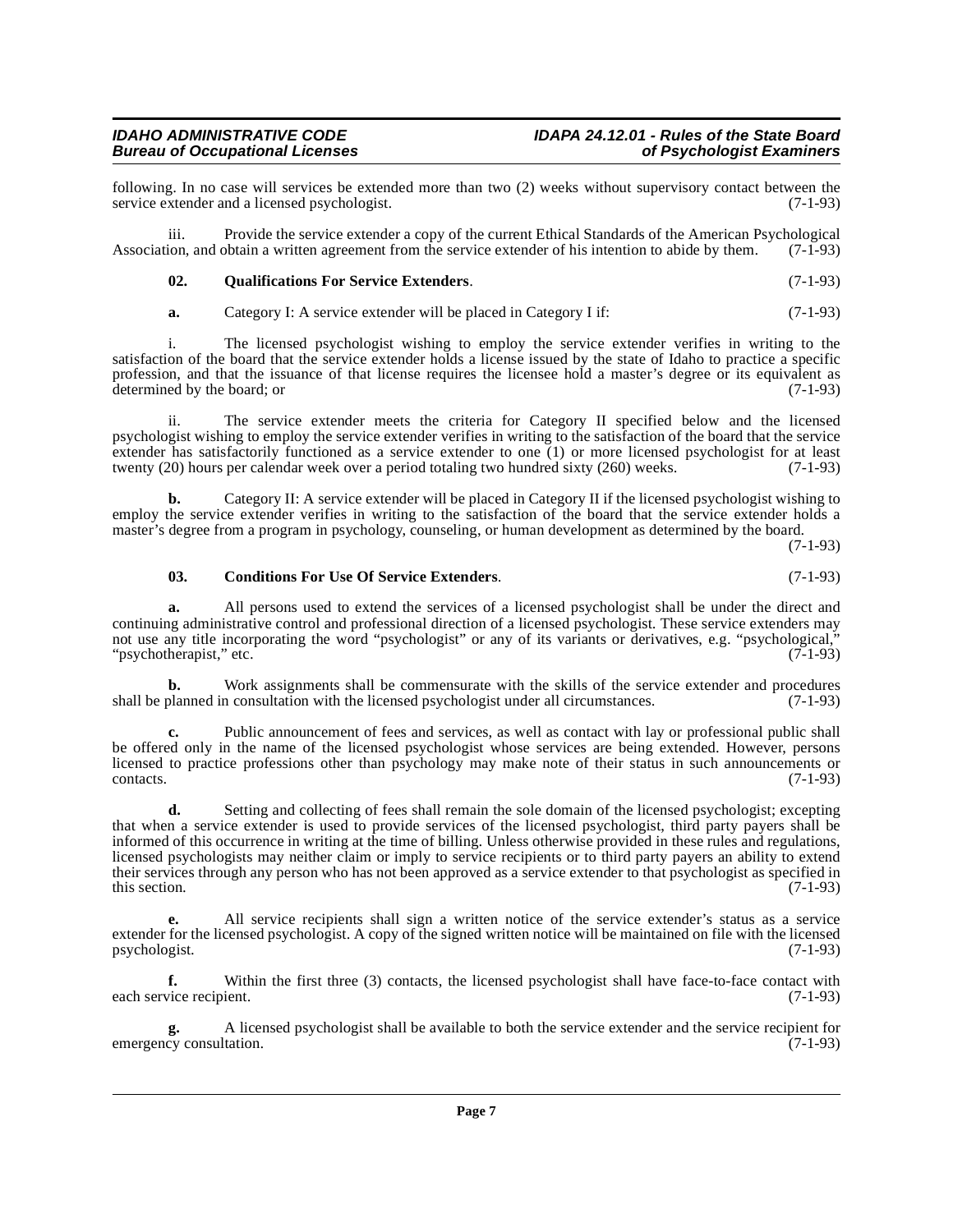## iii. Provide the service extender a copy of the current Ethical Standards of the American Psychological Association, and obtain a written agreement from the service extender of his intention to abide by them.

service extender and a licensed psychologist.

<span id="page-6-1"></span>**02. Qualifications For Service Extenders**. (7-1-93)

**a.** Category I: A service extender will be placed in Category I if: (7-1-93)

i. The licensed psychologist wishing to employ the service extender verifies in writing to the satisfaction of the board that the service extender holds a license issued by the state of Idaho to practice a specific profession, and that the issuance of that license requires the licensee hold a master's degree or its equivalent as determined by the board; or  $(7-1-93)$ 

following. In no case will services be extended more than two (2) weeks without supervisory contact between the service extender and a licensed psychologist. (7-1-93)

ii. The service extender meets the criteria for Category II specified below and the licensed psychologist wishing to employ the service extender verifies in writing to the satisfaction of the board that the service extender has satisfactorily functioned as a service extender to one  $(1)$  or more licensed psychologist for at least twenty (20) hours per calendar week over a period totaling two hundred sixty (260) weeks.  $(7-1-93)$ twenty (20) hours per calendar week over a period totaling two hundred sixty (260) weeks.

**b.** Category II: A service extender will be placed in Category II if the licensed psychologist wishing to employ the service extender verifies in writing to the satisfaction of the board that the service extender holds a master's degree from a program in psychology, counseling, or human development as determined by the board.

(7-1-93)

## <span id="page-6-0"></span>**03. Conditions For Use Of Service Extenders**. (7-1-93)

**a.** All persons used to extend the services of a licensed psychologist shall be under the direct and continuing administrative control and professional direction of a licensed psychologist. These service extenders may not use any title incorporating the word "psychologist" or any of its variants or derivatives, e.g. "psychological,"<br>"psychotherapist." etc. (7-1-93) "psychotherapist," etc.

**b.** Work assignments shall be commensurate with the skills of the service extender and procedures shall be planned in consultation with the licensed psychologist under all circumstances. (7-1-93)

**c.** Public announcement of fees and services, as well as contact with lay or professional public shall be offered only in the name of the licensed psychologist whose services are being extended. However, persons licensed to practice professions other than psychology may make note of their status in such announcements or  $\text{constants.}$  (7-1-93)

**d.** Setting and collecting of fees shall remain the sole domain of the licensed psychologist; excepting that when a service extender is used to provide services of the licensed psychologist, third party payers shall be informed of this occurrence in writing at the time of billing. Unless otherwise provided in these rules and regulations, licensed psychologists may neither claim or imply to service recipients or to third party payers an ability to extend their services through any person who has not been approved as a service extender to that psychologist as specified in<br>(7-1-93) this section.  $(7-1-93)$ 

**e.** All service recipients shall sign a written notice of the service extender's status as a service extender for the licensed psychologist. A copy of the signed written notice will be maintained on file with the licensed psychologist. (7-1-93)

**f.** Within the first three (3) contacts, the licensed psychologist shall have face-to-face contact with each service recipient. (7-1-93)

**g.** A licensed psychologist shall be available to both the service extender and the service recipient for cy consultation. (7-1-93) emergency consultation.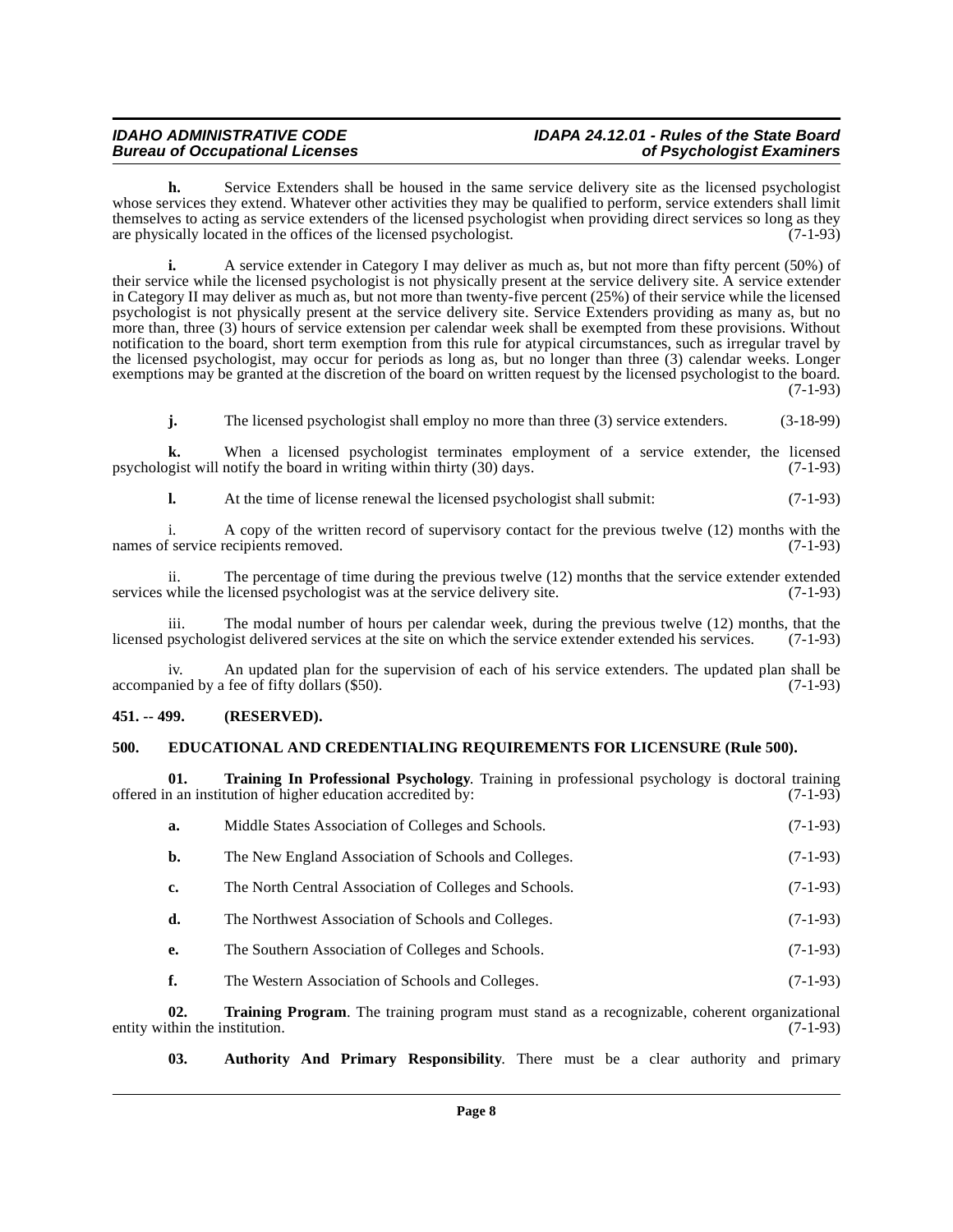# **IDAHO ADMINISTRATIVE CODE IDAPA 24.12.01 - Rules of the State Board**

**h.** Service Extenders shall be housed in the same service delivery site as the licensed psychologist whose services they extend. Whatever other activities they may be qualified to perform, service extenders shall limit themselves to acting as service extenders of the licensed psychologist when providing direct services so long as they are physically located in the offices of the licensed psychologist.  $(7-1-93)$ 

**i.** A service extender in Category I may deliver as much as, but not more than fifty percent (50%) of their service while the licensed psychologist is not physically present at the service delivery site. A service extender in Category II may deliver as much as, but not more than twenty-five percent (25%) of their service while the licensed psychologist is not physically present at the service delivery site. Service Extenders providing as many as, but no more than, three (3) hours of service extension per calendar week shall be exempted from these provisions. Without notification to the board, short term exemption from this rule for atypical circumstances, such as irregular travel by the licensed psychologist, may occur for periods as long as, but no longer than three (3) calendar weeks. Longer exemptions may be granted at the discretion of the board on written request by the licensed psychologist to the board. (7-1-93)

**j.** The licensed psychologist shall employ no more than three (3) service extenders. (3-18-99)

**k.** When a licensed psychologist terminates employment of a service extender, the licensed psychologist will notify the board in writing within thirty (30) days. (7-1-93)

**l.** At the time of license renewal the licensed psychologist shall submit: (7-1-93)

i. A copy of the written record of supervisory contact for the previous twelve (12) months with the names of service recipients removed. (7-1-93)

ii. The percentage of time during the previous twelve  $(12)$  months that the service extender extended while the licensed psychologist was at the service delivery site.  $(7-1-93)$ services while the licensed psychologist was at the service delivery site.

iii. The modal number of hours per calendar week, during the previous twelve  $(12)$  months, that the psychologist delivered services at the site on which the service extended rextended his services.  $(7-1-93)$ licensed psychologist delivered services at the site on which the service extender extended his services.

An updated plan for the supervision of each of his service extenders. The updated plan shall be  $\alpha$  accompanied by a fee of fifty dollars (\$50). (7-1-93)

#### <span id="page-7-0"></span>**451. -- 499. (RESERVED).**

#### <span id="page-7-3"></span><span id="page-7-1"></span>**500. EDUCATIONAL AND CREDENTIALING REQUIREMENTS FOR LICENSURE (Rule 500).**

**01. Training In Professional Psychology**. Training in professional psychology is doctoral training offered in an institution of higher education accredited by:

<span id="page-7-4"></span>

| a.             | Middle States Association of Colleges and Schools.     | $(7-1-93)$ |
|----------------|--------------------------------------------------------|------------|
| $\mathbf{b}$ . | The New England Association of Schools and Colleges.   | $(7-1-93)$ |
| c.             | The North Central Association of Colleges and Schools. | $(7-1-93)$ |
| d.             | The Northwest Association of Schools and Colleges.     | $(7-1-93)$ |
| e.             | The Southern Association of Colleges and Schools.      | $(7-1-93)$ |
|                | The Western Association of Schools and Colleges.       | $(7-1-93)$ |

**02. Training Program**. The training program must stand as a recognizable, coherent organizational thin the institution. (7-1-93) entity within the institution.

<span id="page-7-5"></span><span id="page-7-2"></span>**03. Authority And Primary Responsibility**. There must be a clear authority and primary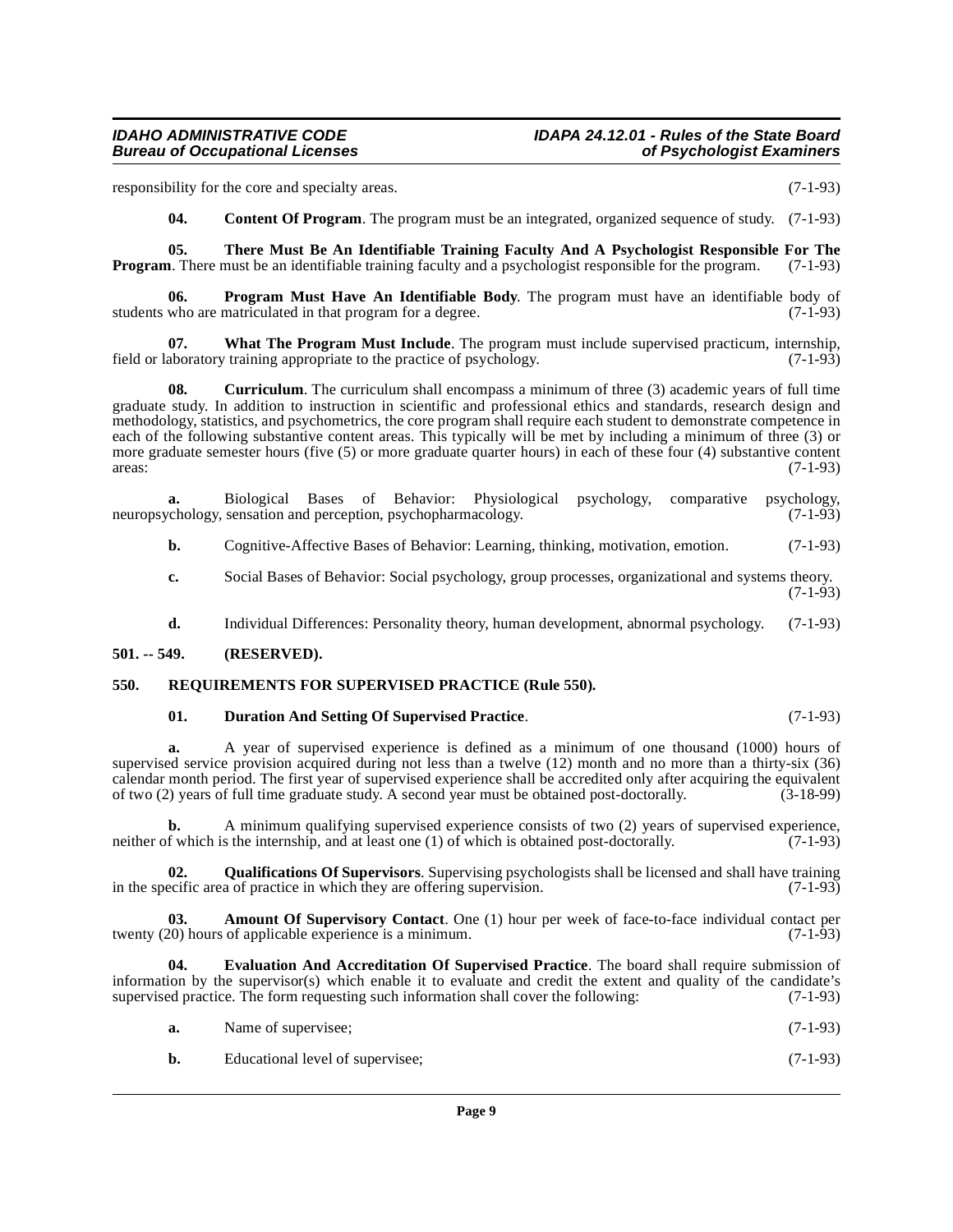responsibility for the core and specialty areas. (7-1-93)

<span id="page-8-10"></span><span id="page-8-7"></span><span id="page-8-3"></span>**04. Content Of Program**. The program must be an integrated, organized sequence of study. (7-1-93)

**05. There Must Be An Identifiable Training Faculty And A Psychologist Responsible For The Program**. There must be an identifiable training faculty and a psychologist responsible for the program. (7-1-93)

**06. Program Must Have An Identifiable Body**. The program must have an identifiable body of who are matriculated in that program for a degree. (7-1-93) students who are matriculated in that program for a degree.

<span id="page-8-11"></span>**07. What The Program Must Include**. The program must include supervised practicum, internship, aboratory training appropriate to the practice of psychology. (7-1-93) field or laboratory training appropriate to the practice of psychology.

<span id="page-8-4"></span>**08.** Curriculum. The curriculum shall encompass a minimum of three (3) academic years of full time graduate study. In addition to instruction in scientific and professional ethics and standards, research design and methodology, statistics, and psychometrics, the core program shall require each student to demonstrate competence in each of the following substantive content areas. This typically will be met by including a minimum of three (3) or more graduate semester hours (five (5) or more graduate quarter hours) in each of these four (4) substantive content areas: (7-1-93)  $\arccos$ :  $(7-1-93)$ 

**a.** Biological Bases of Behavior: Physiological psychology, comparative psychology, neuropsychology, sensation and perception, psychopharmacology.

**b.** Cognitive-Affective Bases of Behavior: Learning, thinking, motivation, emotion. (7-1-93)

**c.** Social Bases of Behavior: Social psychology, group processes, organizational and systems theory.  $(7-1-93)$ 

**d.** Individual Differences: Personality theory, human development, abnormal psychology. (7-1-93)

#### <span id="page-8-0"></span>**501. -- 549. (RESERVED).**

#### <span id="page-8-1"></span>**550. REQUIREMENTS FOR SUPERVISED PRACTICE (Rule 550).**

#### <span id="page-8-9"></span><span id="page-8-5"></span>**01. Duration And Setting Of Supervised Practice**. (7-1-93)

**a.** A year of supervised experience is defined as a minimum of one thousand (1000) hours of supervised service provision acquired during not less than a twelve (12) month and no more than a thirty-six (36) calendar month period. The first year of supervised experience shall be accredited only after acquiring the equivalent<br>of two (2) years of full time graduate study. A second year must be obtained post-doctorally. (3-18-99) of two (2) years of full time graduate study. A second year must be obtained post-doctorally. (3-18-99)

**b.** A minimum qualifying supervised experience consists of two (2) years of supervised experience, neither of which is the internship, and at least one (1) of which is obtained post-doctorally. (7-1-93)

<span id="page-8-8"></span>**02. Qualifications Of Supervisors**. Supervising psychologists shall be licensed and shall have training ecific area of practice in which they are offering supervision. (7-1-93) in the specific area of practice in which they are offering supervision.

<span id="page-8-2"></span>**03. Amount Of Supervisory Contact**. One (1) hour per week of face-to-face individual contact per (20) hours of applicable experience is a minimum. twenty  $(20)$  hours of applicable experience is a minimum.

**04. Evaluation And Accreditation Of Supervised Practice**. The board shall require submission of information by the supervisor(s) which enable it to evaluate and credit the extent and quality of the candidate's supervised practice. The form requesting such information shall cover the following: (7-1-93)

<span id="page-8-6"></span>

| а. | Name of supervisee; | $(7-1-93)$ |
|----|---------------------|------------|
|    |                     |            |

| b. | Educational level of supervisee; | $(7-1-93)$ |  |
|----|----------------------------------|------------|--|
|----|----------------------------------|------------|--|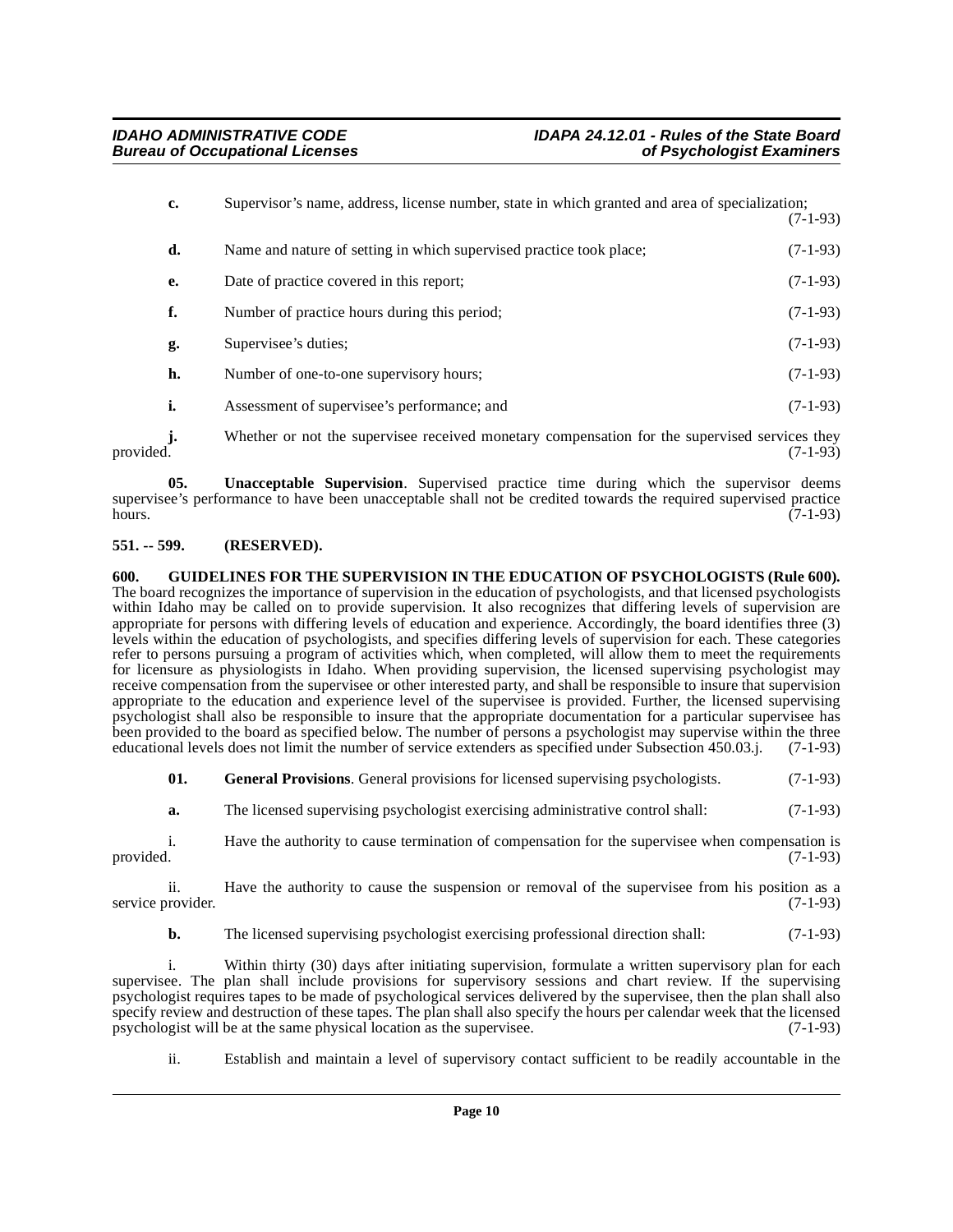| c. | Supervisor's name, address, license number, state in which granted and area of specialization; | $(7-1-93)$ |
|----|------------------------------------------------------------------------------------------------|------------|
| d. | Name and nature of setting in which supervised practice took place;                            | $(7-1-93)$ |
| e. | Date of practice covered in this report;                                                       | $(7-1-93)$ |
| f. | Number of practice hours during this period;                                                   | $(7-1-93)$ |
| g. | Supervisee's duties;                                                                           | $(7-1-93)$ |
| h. | Number of one-to-one supervisory hours;                                                        | $(7-1-93)$ |
| i. | Assessment of supervisee's performance; and                                                    | $(7-1-93)$ |
| j. | Whether or not the supervisee received monetary compensation for the supervised services they  |            |

<span id="page-9-3"></span>provided. (7-1-93) **05. Unacceptable Supervision**. Supervised practice time during which the supervisor deems supervisee's performance to have been unacceptable shall not be credited towards the required supervised practice<br>(7-1-93) hours.  $(7-1-93)$ 

#### <span id="page-9-0"></span>**551. -- 599. (RESERVED).**

#### <span id="page-9-2"></span><span id="page-9-1"></span>**600. GUIDELINES FOR THE SUPERVISION IN THE EDUCATION OF PSYCHOLOGISTS (Rule 600).** The board recognizes the importance of supervision in the education of psychologists, and that licensed psychologists within Idaho may be called on to provide supervision. It also recognizes that differing levels of supervision are appropriate for persons with differing levels of education and experience. Accordingly, the board identifies three (3) levels within the education of psychologists, and specifies differing levels of supervision for each. These categories refer to persons pursuing a program of activities which, when completed, will allow them to meet the requirements for licensure as physiologists in Idaho. When providing supervision, the licensed supervising psychologist may receive compensation from the supervisee or other interested party, and shall be responsible to insure that supervision appropriate to the education and experience level of the supervisee is provided. Further, the licensed supervising psychologist shall also be responsible to insure that the appropriate documentation for a particular supervisee has been provided to the board as specified below. The number of persons a psychologist may supervise within the three educational levels does not limit the number of service extenders as specified under Subsection 450.03.j. ( educational levels does not limit the number of service extenders as specified under Subsection 450.03.j.

**01.** General Provisions. General provisions for licensed supervising psychologists. (7-1-93)

**a.** The licensed supervising psychologist exercising administrative control shall: (7-1-93)

i. Have the authority to cause termination of compensation for the supervisee when compensation is provided. (7-1-93)

ii. Have the authority to cause the suspension or removal of the supervisee from his position as a service provider. (7-1-93)

**b.** The licensed supervising psychologist exercising professional direction shall: (7-1-93)

i. Within thirty (30) days after initiating supervision, formulate a written supervisory plan for each supervisee. The plan shall include provisions for supervisory sessions and chart review. If the supervising psychologist requires tapes to be made of psychological services delivered by the supervisee, then the plan shall also specify review and destruction of these tapes. The plan shall also specify the hours per calendar week that the licensed<br>psychologist will be at the same physical location as the supervisee. (7-1-93) psychologist will be at the same physical location as the supervisee.

ii. Establish and maintain a level of supervisory contact sufficient to be readily accountable in the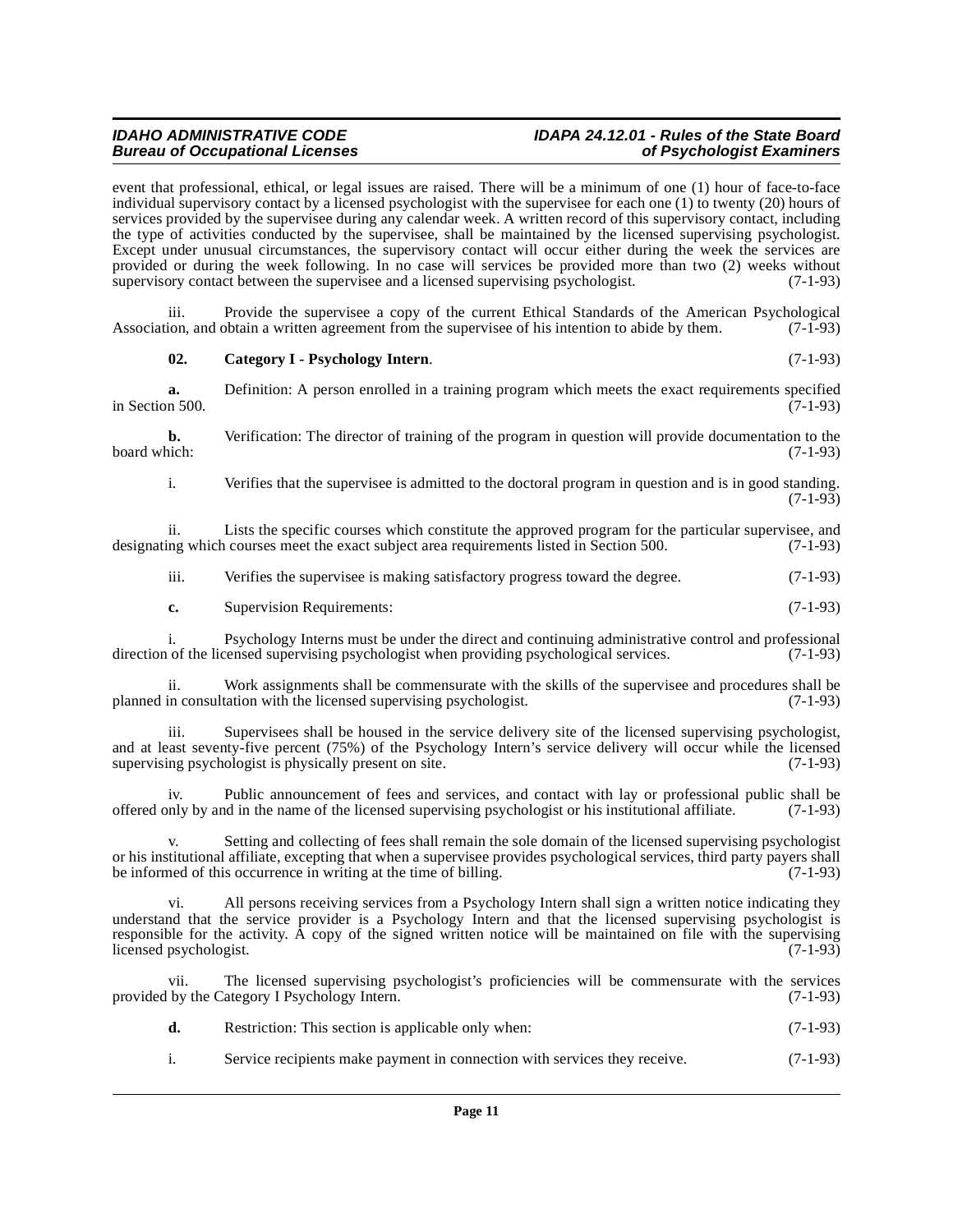# **IDAHO ADMINISTRATIVE CODE IDAPA 24.12.01 - Rules of the State Board**

event that professional, ethical, or legal issues are raised. There will be a minimum of one (1) hour of face-to-face individual supervisory contact by a licensed psychologist with the supervisee for each one (1) to twenty (20) hours of services provided by the supervisee during any calendar week. A written record of this supervisory contact, including the type of activities conducted by the supervisee, shall be maintained by the licensed supervising psychologist. Except under unusual circumstances, the supervisory contact will occur either during the week the services are provided or during the week following. In no case will services be provided more than two (2) weeks without supervisory contact between the supervise and a licensed supervising psychologist. (7-1-93) supervisory contact between the supervisee and a licensed supervising psychologist.

iii. Provide the supervisee a copy of the current Ethical Standards of the American Psychological Association, and obtain a written agreement from the supervisee of his intention to abide by them. (7-1-93)

#### <span id="page-10-0"></span>**02. Category I - Psychology Intern**. (7-1-93)

**a.** Definition: A person enrolled in a training program which meets the exact requirements specified in 500. in Section 500.

**b.** Verification: The director of training of the program in question will provide documentation to the board which: (7-1-93) board which: (7-1-93)

i. Verifies that the supervisee is admitted to the doctoral program in question and is in good standing.  $(7-1-93)$ 

ii. Lists the specific courses which constitute the approved program for the particular supervisee, and designating which courses meet the exact subject area requirements listed in Section 500. (7-1-93)

iii. Verifies the supervisee is making satisfactory progress toward the degree. (7-1-93)

**c.** Supervision Requirements: (7-1-93)

i. Psychology Interns must be under the direct and continuing administrative control and professional of the licensed supervising psychologist when providing psychological services. (7-1-93) direction of the licensed supervising psychologist when providing psychological services.

Work assignments shall be commensurate with the skills of the supervisee and procedures shall be planned in consultation with the licensed supervising psychologist. (7-1-93)

iii. Supervisees shall be housed in the service delivery site of the licensed supervising psychologist, and at least seventy-five percent (75%) of the Psychology Intern's service delivery will occur while the licensed supervising psychologist is physically present on site.  $(7-1-93)$ supervising psychologist is physically present on site.

iv. Public announcement of fees and services, and contact with lay or professional public shall be offered only by and in the name of the licensed supervising psychologist or his institutional affiliate. (7-1-93)

Setting and collecting of fees shall remain the sole domain of the licensed supervising psychologist or his institutional affiliate, excepting that when a supervisee provides psychological services, third party payers shall<br>be informed of this occurrence in writing at the time of billing. be informed of this occurrence in writing at the time of billing.

vi. All persons receiving services from a Psychology Intern shall sign a written notice indicating they understand that the service provider is a Psychology Intern and that the licensed supervising psychologist is responsible for the activity. A copy of the signed written notice will be maintained on file with the supervising licensed psychologist. (7-1-93)

vii. The licensed supervising psychologist's proficiencies will be commensurate with the services provided by the Category I Psychology Intern. (7-1-93)

| d. | Restriction: This section is applicable only when: | $(7-1-93)$ |
|----|----------------------------------------------------|------------|
|----|----------------------------------------------------|------------|

i. Service recipients make payment in connection with services they receive. (7-1-93)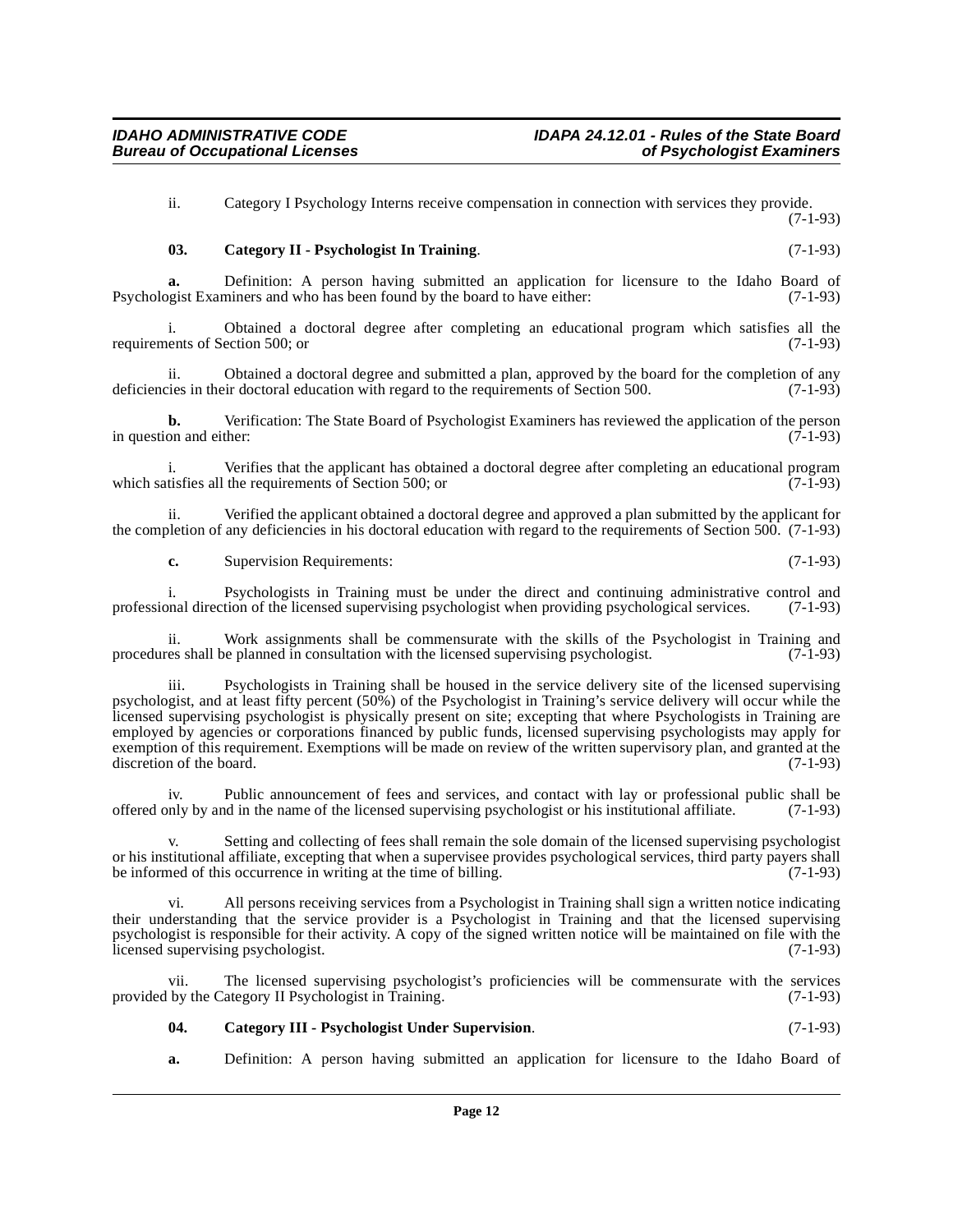ii. Category I Psychology Interns receive compensation in connection with services they provide. (7-1-93)

### <span id="page-11-0"></span>**03. Category II - Psychologist In Training**. (7-1-93)

**a.** Definition: A person having submitted an application for licensure to the Idaho Board of opeist Examiners and who has been found by the board to have either: (7-1-93) Psychologist Examiners and who has been found by the board to have either:

i. Obtained a doctoral degree after completing an educational program which satisfies all the ents of Section 500; or (7-1-93) requirements of Section 500; or

ii. Obtained a doctoral degree and submitted a plan, approved by the board for the completion of any cies in their doctoral education with regard to the requirements of Section 500. (7-1-93) deficiencies in their doctoral education with regard to the requirements of Section 500.

**b.** Verification: The State Board of Psychologist Examiners has reviewed the application of the person on and either: (7-1-93) in question and either:

Verifies that the applicant has obtained a doctoral degree after completing an educational program<br>the requirements of Section 500: or (7-1-93) which satisfies all the requirements of Section 500; or

ii. Verified the applicant obtained a doctoral degree and approved a plan submitted by the applicant for the completion of any deficiencies in his doctoral education with regard to the requirements of Section 500. (7-1-93)

**c.** Supervision Requirements: (7-1-93)

i. Psychologists in Training must be under the direct and continuing administrative control and professional direction of the licensed supervising psychologist when providing psychological services. (7-1-93)

ii. Work assignments shall be commensurate with the skills of the Psychologist in Training and res shall be planned in consultation with the licensed supervising psychologist. (7-1-93) procedures shall be planned in consultation with the licensed supervising psychologist.

Psychologists in Training shall be housed in the service delivery site of the licensed supervising psychologist, and at least fifty percent (50%) of the Psychologist in Training's service delivery will occur while the licensed supervising psychologist is physically present on site; excepting that where Psychologists in Training are employed by agencies or corporations financed by public funds, licensed supervising psychologists may apply for exemption of this requirement. Exemptions will be made on review of the written supervisory plan, and granted at the discretion of the board. (7-1-93)

iv. Public announcement of fees and services, and contact with lay or professional public shall be offered only by and in the name of the licensed supervising psychologist or his institutional affiliate. (7-1-93)

Setting and collecting of fees shall remain the sole domain of the licensed supervising psychologist or his institutional affiliate, excepting that when a supervisee provides psychological services, third party payers shall<br>be informed of this occurrence in writing at the time of billing. (7-1-93) be informed of this occurrence in writing at the time of billing.

vi. All persons receiving services from a Psychologist in Training shall sign a written notice indicating their understanding that the service provider is a Psychologist in Training and that the licensed supervising psychologist is responsible for their activity. A copy of the signed written notice will be maintained on file with the licensed supervising psychologist. (7-1-93)

vii. The licensed supervising psychologist's proficiencies will be commensurate with the services provided by the Category II Psychologist in Training. (7-1-93)

#### <span id="page-11-1"></span>**04. Category III - Psychologist Under Supervision**. (7-1-93)

**a.** Definition: A person having submitted an application for licensure to the Idaho Board of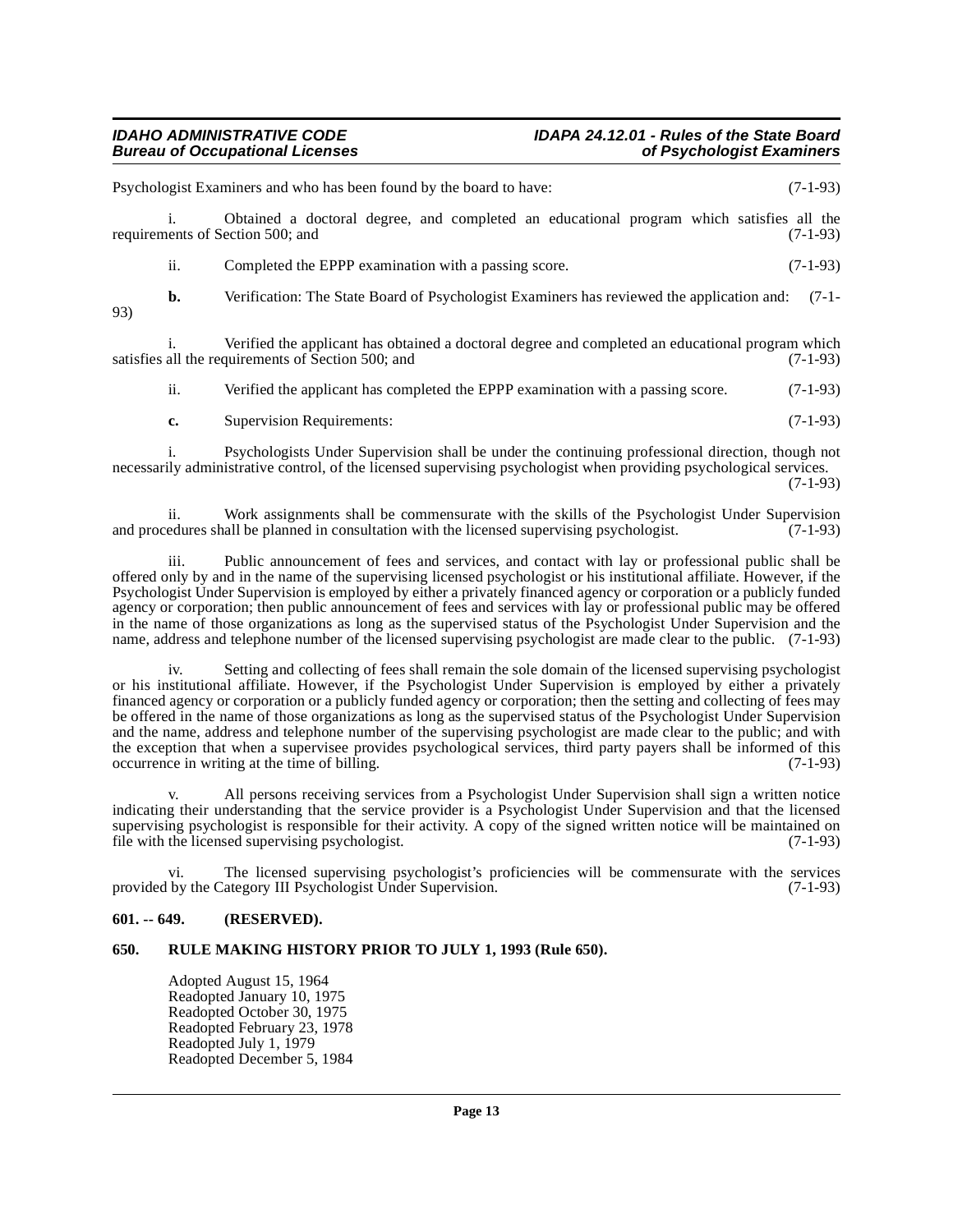# **IDAHO ADMINISTRATIVE CODE IDAPA 24.12.01 - Rules of the State Board**

|     |     | Psychologist Examiners and who has been found by the board to have:                                                                                    | $(7-1-93)$ |
|-----|-----|--------------------------------------------------------------------------------------------------------------------------------------------------------|------------|
|     |     | Obtained a doctoral degree, and completed an educational program which satisfies all the<br>requirements of Section 500; and                           | $(7-1-93)$ |
|     | ii. | Completed the EPPP examination with a passing score.                                                                                                   | $(7-1-93)$ |
| 93) | b.  | Verification: The State Board of Psychologist Examiners has reviewed the application and:                                                              | $(7-1-$    |
|     |     | Verified the applicant has obtained a doctoral degree and completed an educational program which<br>satisfies all the requirements of Section 500; and | $(7-1-93)$ |
|     | ii. | Verified the applicant has completed the EPPP examination with a passing score.                                                                        | $(7-1-93)$ |
|     | c.  | <b>Supervision Requirements:</b>                                                                                                                       | $(7-1-93)$ |

i. Psychologists Under Supervision shall be under the continuing professional direction, though not necessarily administrative control, of the licensed supervising psychologist when providing psychological services.  $(7-1-93)$ 

ii. Work assignments shall be commensurate with the skills of the Psychologist Under Supervision and procedures shall be planned in consultation with the licensed supervising psychologist.  $(7-1-93)$ 

iii. Public announcement of fees and services, and contact with lay or professional public shall be offered only by and in the name of the supervising licensed psychologist or his institutional affiliate. However, if the Psychologist Under Supervision is employed by either a privately financed agency or corporation or a publicly funded agency or corporation; then public announcement of fees and services with lay or professional public may be offered in the name of those organizations as long as the supervised status of the Psychologist Under Supervision and the name, address and telephone number of the licensed supervising psychologist are made clear to the public. (7-1-93)

iv. Setting and collecting of fees shall remain the sole domain of the licensed supervising psychologist or his institutional affiliate. However, if the Psychologist Under Supervision is employed by either a privately financed agency or corporation or a publicly funded agency or corporation; then the setting and collecting of fees may be offered in the name of those organizations as long as the supervised status of the Psychologist Under Supervision and the name, address and telephone number of the supervising psychologist are made clear to the public; and with the exception that when a supervisee provides psychological services, third party payers shall be informed of this occurrence in writing at the time of billing. occurrence in writing at the time of billing.

All persons receiving services from a Psychologist Under Supervision shall sign a written notice indicating their understanding that the service provider is a Psychologist Under Supervision and that the licensed supervising psychologist is responsible for their activity. A copy of the signed written notice will be maintained on file with the licensed supervising psychologist. (7-1-93)

vi. The licensed supervising psychologist's proficiencies will be commensurate with the services by the Category III Psychologist Under Supervision. (7-1-93) provided by the Category III Psychologist Under Supervision.

#### <span id="page-12-0"></span>**601. -- 649. (RESERVED).**

### <span id="page-12-1"></span>**650. RULE MAKING HISTORY PRIOR TO JULY 1, 1993 (Rule 650).**

Adopted August 15, 1964 Readopted January 10, 1975 Readopted October 30, 1975 Readopted February 23, 1978 Readopted July 1, 1979 Readopted December 5, 1984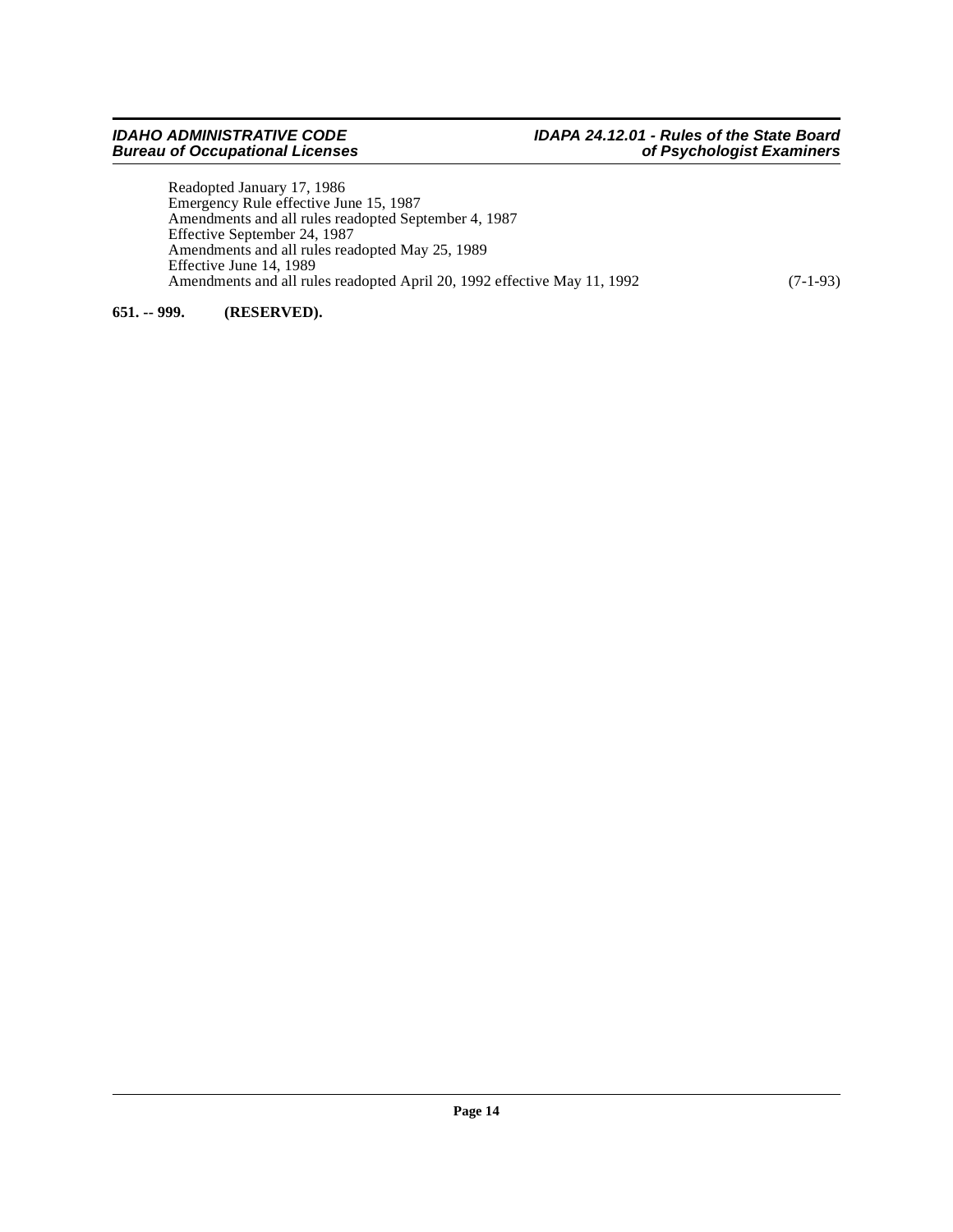Readopted January 17, 1986 Emergency Rule effective June 15, 1987 Amendments and all rules readopted September 4, 1987 Effective September 24, 1987 Amendments and all rules readopted May 25, 1989 Effective June 14, 1989 Amendments and all rules readopted April 20, 1992 effective May 11, 1992 (7-1-93)

#### <span id="page-13-0"></span>**651. -- 999. (RESERVED).**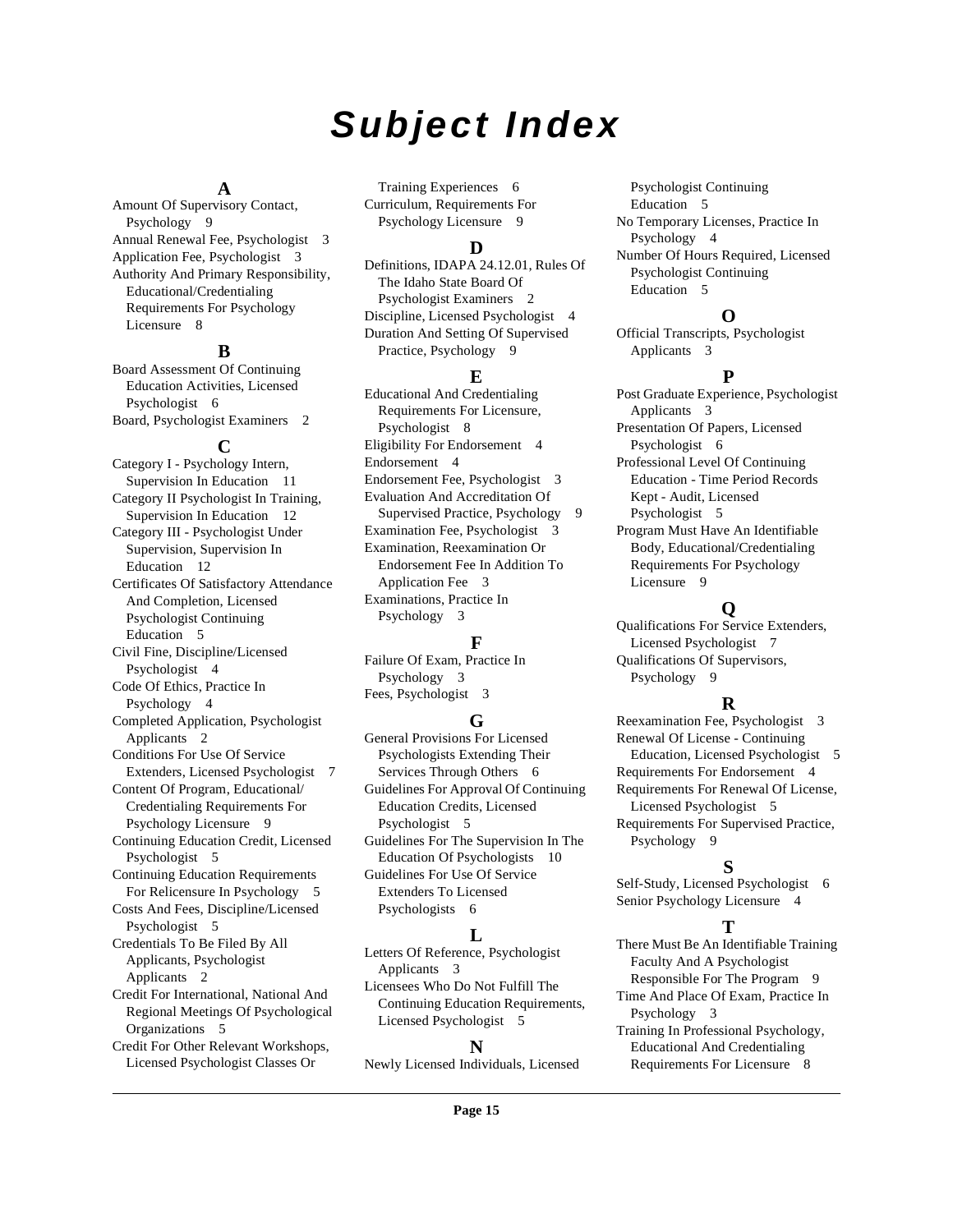# **Subject Index**

#### **A**

Amount Of Supervisory Contact, Psychology [9](#page-8-2) Annual Renewal Fee, Psychologist [3](#page-2-4) Application Fee, Psychologist [3](#page-2-5) Authority And Primary Responsibility, Educational/Credentialing Requirements For Psychology Licensure [8](#page-7-2)

#### **B**

Board Assessment Of Continuing Education Activities, Licensed Psychologist [6](#page-5-2) Board, Psychologist Examiners [2](#page-1-12)

#### **C**

Category I - Psychology Intern, Supervision In Education [11](#page-10-0) Category II Psychologist In Training, Supervision In Education [12](#page-11-0) Category III - Psychologist Under Supervision, Supervision In Education [12](#page-11-1) Certificates Of Satisfactory Attendance And Completion, Licensed Psychologist Continuing Education [5](#page-4-4) Civil Fine, Discipline/Licensed Psychologist [4](#page-3-10) Code Of Ethics, Practice In Psychology [4](#page-3-11) Completed Application, Psychologist Applicants [2](#page-1-13) Conditions For Use Of Service Extenders, Licensed Psychologist [7](#page-6-0) Content Of Program, Educational/ Credentialing Requirements For Psychology Licensure [9](#page-8-3) Continuing Education Credit, Licensed Psychologist [5](#page-4-5) Continuing Education Requirements For Relicensure In Psychology [5](#page-4-6) Costs And Fees, Discipline/Licensed Psychologist [5](#page-4-7) Credentials To Be Filed By All Applicants, Psychologist Applicants [2](#page-1-14) Credit For International, National And Regional Meetings Of Psychological Organizations [5](#page-4-8) Credit For Other Relevant Workshops, Licensed Psychologist Classes Or

Training Experiences [6](#page-5-3) Curriculum, Requirements For Psychology Licensure [9](#page-8-4)

#### **D**

Definitions, IDAPA 24.12.01, Rules Of The Idaho State Board Of Psychologist Examiners [2](#page-1-15) Discipline, Licensed Psychologist [4](#page-3-12) Duration And Setting Of Supervised Practice, Psychology [9](#page-8-5)

#### **E**

Educational And Credentialing Requirements For Licensure, Psychologist [8](#page-7-3) Eligibility For Endorsement [4](#page-3-13) Endorsement [4](#page-3-14) Endorsement Fee, Psychologist [3](#page-2-6) Evaluation And Accreditation Of Supervised Practice, Psychology [9](#page-8-6) Examination Fee, Psychologist [3](#page-2-7) Examination, Reexamination Or Endorsement Fee In Addition To Application Fee [3](#page-2-8) Examinations, Practice In Psychology [3](#page-2-9)

#### **F**

Failure Of Exam, Practice In Psychology [3](#page-2-10) Fees, Psychologist [3](#page-2-11)

#### **G**

General Provisions For Licensed Psychologists Extending Their Services Through Others [6](#page-5-4) Guidelines For Approval Of Continuing Education Credits, Licensed Psychologist [5](#page-4-9) Guidelines For The Supervision In The Education Of Psychologists [10](#page-9-2) Guidelines For Use Of Service Extenders To Licensed Psychologists [6](#page-5-5)

### **L**

Letters Of Reference, Psychologist Applicants [3](#page-2-12) Licensees Who Do Not Fulfill The Continuing Education Requirements, Licensed Psychologist [5](#page-4-10)

#### **N**

Newly Licensed Individuals, Licensed

Psychologist Continuing Education [5](#page-4-11) No Temporary Licenses, Practice In Psychology [4](#page-3-15) Number Of Hours Required, Licensed Psychologist Continuing Education [5](#page-4-12)

### **O**

Official Transcripts, Psychologist Applicants [3](#page-2-13)

### **P**

Post Graduate Experience, Psychologist Applicants [3](#page-2-14) Presentation Of Papers, Licensed Psychologist [6](#page-5-6) Professional Level Of Continuing Education - Time Period Records Kept - Audit, Licensed Psychologist [5](#page-4-13) Program Must Have An Identifiable Body, Educational/Credentialing

Requirements For Psychology Licensure [9](#page-8-7)

### **Q**

Qualifications For Service Extenders, Licensed Psychologist [7](#page-6-1) Qualifications Of Supervisors, Psychology [9](#page-8-8)

### **R**

Reexamination Fee, Psychologist [3](#page-2-15) Renewal Of License - Continuing Education, Licensed Psychologist [5](#page-4-14) Requirements For Endorsement [4](#page-3-16) Requirements For Renewal Of License, Licensed Psychologist [5](#page-4-15) Requirements For Supervised Practice, Psychology [9](#page-8-9)

#### **S**

Self-Study, Licensed Psychologist [6](#page-5-7) Senior Psychology Licensure [4](#page-3-17)

### **T**

There Must Be An Identifiable Training Faculty And A Psychologist Responsible For The Program [9](#page-8-10) Time And Place Of Exam, Practice In

Psychology [3](#page-2-16) Training In Professional Psychology,

Educational And Credentialing Requirements For Licensure [8](#page-7-4)